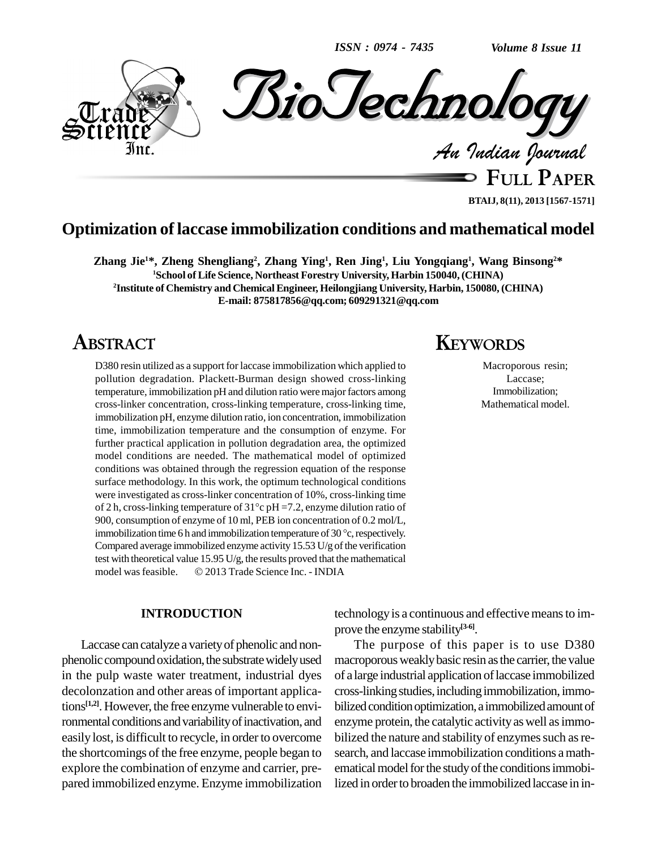*ISSN : 0974 - 7435*

*Volume 8 Issue 11*



**FULL PAPER BTAIJ, 8(11), 2013 [1567-1571]**

# **Optimization oflaccase immobilization conditions and mathematical model**

Zhang Jie<sup>1\*</sup>, Zheng Shengliang<sup>2</sup>, Zhang Ying<sup>1</sup>, Ren Jing<sup>1</sup>, Liu Yongqiang<sup>1</sup>, Wang Binsong<sup>2\*</sup> **<sup>1</sup>School of Life Science, Northeast Forestry University, Harbin 150040,(CHINA) <sup>2</sup>Institute of Chemistry and Chemical Engineer, Heilongjiang University, Harbin, 150080, (CHINA) E-mail: [875817856@qq.com;](mailto:875817856@qq.com;) [609291321@qq.com](mailto:609291321@qq.com)**

# **ABSTRACT**

D380 resin utilized as a support for laccase immobilization which applied to pollution degradation. Plackett-Burman design showed cross-linking temperature, immobilization pH and dilution ratio were major factors among cross-linker concentration, cross-linking temperature, cross-linking time, immobilization pH, enzyme dilution ratio, ion concentration, immobilization time, immobilization temperature and the consumption of enzyme. For further practical application in pollution degradation area, the optimized model conditions are needed. The mathematical model of optimized conditions was obtained through the regression equation of the response surface methodology. In this work, the optimum technological conditions were investigated as cross-linker concentration of 10%, cross-linking time surface methodology. In this work, the optimum technological conditions<br>were investigated as cross-linker concentration of 10%, cross-linking time<br>of 2 h, cross-linking temperature of  $31^{\circ}c$  pH =7.2, enzyme dilution ra 900, consumption of enzyme of 10 ml, PEB ion concentration of 0.2 mol/L, of 2 h, cross-linking temperature of 31°c pH =7.2, enzyme dilution ratio of 900, consumption of enzyme of 10 ml, PEB ion concentration of 0.2 mol/L, immobilization time 6 h and immobilization temperature of 30 °c, respect Compared average immobilized enzyme activity  $15.53$  U/g of the verification test with theoretical value  $15.95 \text{ U/g}$ , the results proved that the mathematical Compared average immobilized enzyme activity  $15.53$  U/g of the verificatio test with theoretical value  $15.95$  U/g, the results proved that the mathematica model was feasible.  $\circ$  2013 Trade Science Inc. - INDIA

#### **INTRODUCTION**

Laccase can catalyze a varietyof phenolic and non phenolic compound oxidation, the substrate widely used in the pulp waste water treatment, industrial dyes decolonzation and other areas of important applications<sup>[1,2]</sup>. However, the free enzyme vulnerable to envi- b ronmental conditions and variability of inactivation, and easily lost, is difficult to recycle, in order to overcome the shortcomings of the free enzyme, people began to explore the combination of enzyme and carrier, pre pared immobilized enzyme. Enzyme immobilization

# **KEYWORDS**

Macroporous resin; Laccase; Immobilization; Mathematical model.

technology is a continuous and effective means to improve the enzyme stability **[3-6]**.

The purpose of this paper is to use D380 macroporous weakly basic resin as the carrier, the value of a large industrial application of laccase immobilized cross-linkingstudies,includingimmobilization,immo bilized condition optimization, a immobilized amount of enzyme protein, the catalytic activity as well as immobilized the nature and stability of enzymes such as research, and laccase immobilization conditions amath ematical model for the study of the conditions immobilized in order to broaden the immobilized laccase in in-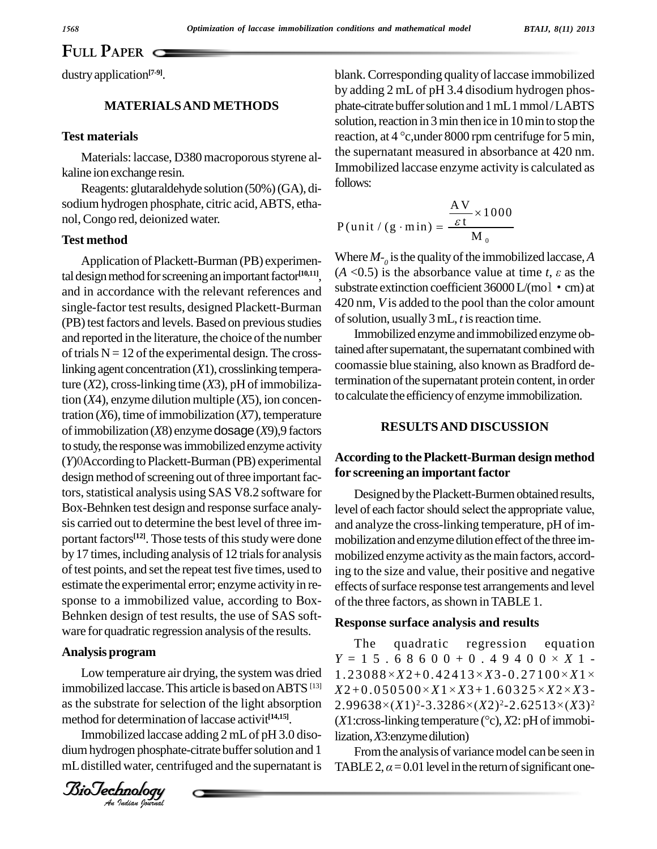# **FULL PAPER**

dustryapplication **[7-9]**.

### **MATERIALSAND METHODS**

#### **Test materials**

Materials: laccase, D380 macroporous styrene alkaline ion exchange resin.

Reagents: glutaraldehyde solution(50%)(GA), di sodium hydrogen phosphate, citric acid,ABTS, etha nol,Congo red, deionized water.

#### **Test method**

Application of Plackett-Burman (PB) experimental design method for screening an important factor<sup>[10,11]</sup>,  $(A)$ and in accordance with the relevant references and single-factor test results, designed Plackett-Burman (PB) test factors and levels. Based on previous studies and reported in the literature, the choice of the number of trials  $N = 12$  of the experimental design. The crosslinking agent concentration  $(X1)$ , crosslinking temperature (X2), cross-linking time (X3), pH of immobilization (*X*4), enzyme dilution multiple (*X*5), ion concentration  $(X6)$ , time of immobilization  $(X7)$ , temperature ofimmobilization (*X*8) enzymedosage(*X*9),9 factors to study, the response was immobilized enzyme activity (*Y*)0According to Plackett-Burman (PB) experimental design method of screening out of three important factors, statistical analysis using SAS V8.2 software for Box-Behnken test design and response surface analy sis carried out to determine the best level of three im portant factors<sup>[12]</sup>. Those tests of this study were done mobil by 17 times, including analysis of 12 trials for analysis of test points, and set the repeat test five times, used to estimate the experimental error; enzyme activityin re-sponse to <sup>a</sup> immobilized value, according to Box- Behnken design of test results, the use of SAS soft ware for quadratic regression analysis of the results.

#### **Analysis program**

Low temperature air drying, the system was dried  $\begin{bmatrix} 1 & -1 \\ 1 & 2 & 3 \end{bmatrix}$ method for determination of laccase activit<sup>[14,15]</sup>. immobilized laccase. This article is based on ABTS  $[13]$   $X2+$ as the substrate for selection of the light absorption

Immobilized laccase adding 2 mLof pH 3.0 diso dium hydrogen phosphate-citrate buffer solution and 1 mLdistilled water, centrifuged and the supernatant is



blank. Corresponding quality of laccase immobilized by adding 2 mL of pH 3.4 disodium hydrogen phos phate-citrate buffer solution and 1 mL 1 mmol/LABTS<br>solution, reaction in 3 min then ice in 10 min to stop the<br>reaction, at 4 °c,under 8000 rpm centrifuge for 5 min, solution, reaction in 3 min then ice in 10 min to stop the the supernatant measured in absorbance at 420 nm. Immobilized laccase enzyme activity is calculated as follows:

$$
P(\text{unit} / (g \cdot \text{min}) = \frac{\frac{AV}{\varepsilon t} \times 1000}{M_0}
$$
  
Where  $M_{-\rho}$  is the quality of the immobilized laccase, A

Where  $M_{\sigma}$  is the quality of the immobilized laccase, *A*<br>(*A* <0.5) is the absorbance value at time *t*,  $\varepsilon$  as the substrate extinction coefficient  $36000$  L/(mol·cm) at 420 nm, *V* is added to the pool than the color amount ofsolution, usually3mL, *t* isreaction time.

Immobilized enzyme andimmobilized enzyme obtained after supernatant, the supernatant combined with coomassie blue staining, also known as Bradford determination of the supernatant protein content, in order to calculate the efficiency of enzyme immobilization.

#### **RESULTSAND DISCUSSION**

## **According to thePlackett-Burman design method for screening an important factor**

Designed by the Plackett-Burmen obtained results, level of each factor should select the appropriate value, and analyze the cross-linking temperature, pH of im mobilization and enzyme dilution effect of the three immobilized enzyme activity as the main factors, according to the size and value, their positive and negative effects of surface response test arrangements and level of the three factors, as shown in TABLE 1.

#### **Response surface analysis and results**

The quadratic regression equation **Example 5 Fix 3 Fix 3 Fix 3 Fix 3 Fix 3 Fix 3 Fix 4 9 4 0 0 ×** *X* **1 -<br>** *Y* **= 1 5 . 6 8 6 0 0 + 0 . 4 9 4 0 0 ×** *X* **1 -**The quadratic regression equation<br> $Y = 1\ 5\ 6\ 8\ 6\ 0\ 0 + 0\ 4\ 9\ 4\ 0\ 0 \times X\ 1\ -$ <br> $1.23088 \times X2 + 0.42413 \times X3 - 0.27100 \times X1 \times$  $X2+0.050500 \times X1 \times X3+1.60325 \times X2 \times X3-1.60325 \times X2 \times X3-1.60325 \times X3 \times X3-1.60325 \times X3 \times X3-1.60325 \times X3 \times X3-1.60325 \times X3 \times X3-1.60325 \times X3 \times X3-1.60325 \times X3 \times X3-1.60325 \times X3 \times X3-1.60325 \times X3 \times X3-1.60325 \times X3 \times X3-1.60325 \times X3 \times X3-1.60325 \$ 1.23088×*X*2+0.42413×*X*3-0.27100×*X*1×<br>X2+0.050500×*X*1×*X3*+1.60325×*X*2×*X3-*<br>2.99638×(*X*1)?-3.3286×(*X*2)?-2.62513×(*X*3)? X2+0.050500×X1×X3+1.60325×X2×X3-<br>2.99638×(X1)<sup>2</sup>-3.3286×(X2)<sup>2</sup>-2.62513×(X3)<sup>2</sup><br>(X1:cross-linking temperature (°c), X2: pH of immobilization, *X*3: enzyme dilution)

From the analysis of variance model can be seen in TABLE 2,  $\alpha$  = 0.01 level in the return of significant one-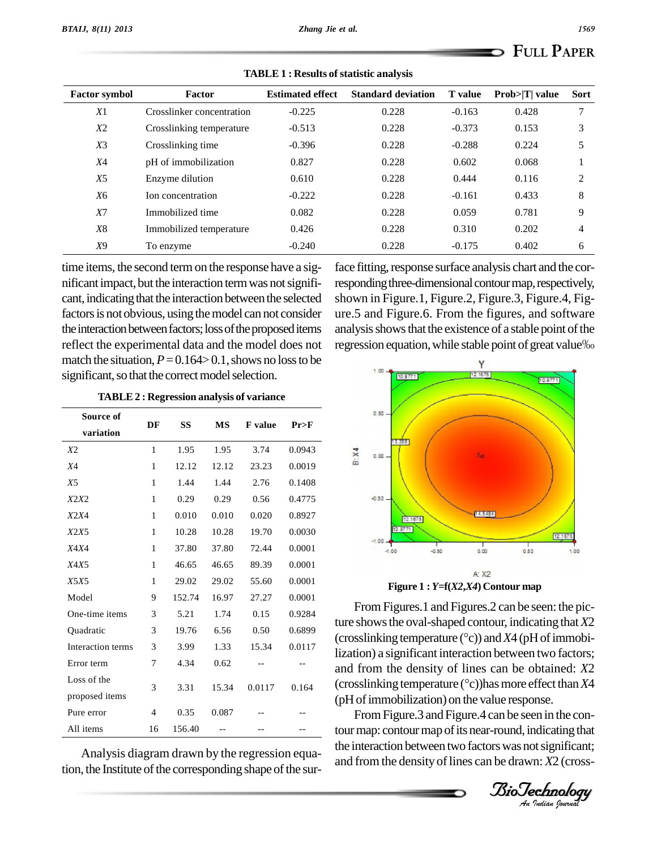| <b>Factor symbol</b> | Factor                    | <b>Estimated effect</b> | <b>Standard deviation</b> | <b>T</b> value | $Prob> T $ value | <b>Sort</b> |
|----------------------|---------------------------|-------------------------|---------------------------|----------------|------------------|-------------|
| X1                   | Crosslinker concentration | $-0.225$                | 0.228                     | $-0.163$       | 0.428            | 7           |
| X2                   | Crosslinking temperature  | $-0.513$                | 0.228                     | $-0.373$       | 0.153            | 3           |
| $X_3$                | Crosslinking time         | $-0.396$                | 0.228                     | $-0.288$       | 0.224            | 5           |
| <i>X</i> 4           | pH of immobilization      | 0.827                   | 0.228                     | 0.602          | 0.068            |             |
| X <sub>5</sub>       | Enzyme dilution           | 0.610                   | 0.228                     | 0.444          | 0.116            | 2           |
| X6                   | Ion concentration         | $-0.222$                | 0.228                     | $-0.161$       | 0.433            | 8           |
| X7                   | Immobilized time          | 0.082                   | 0.228                     | 0.059          | 0.781            | 9           |
| X <sup>8</sup>       | Immobilized temperature   | 0.426                   | 0.228                     | 0.310          | 0.202            | 4           |
| X9                   | To enzyme                 | $-0.240$                | 0.228                     | $-0.175$       | 0.402            | 6           |

 $TABLE 1: Results of statistic analysis$ 

time items, the second termon the response have a sig nificant impact, but the interaction term was not significant, indicating that the interaction between the selected factors is not obvious, using the model can not consider the interaction between factors; loss of the proposed items reflect the experimental data and the model does not match the situation,  $P = 0.164 > 0.1$ , shows no loss to be significant, so that the correct model selection.

**TABLE 2 : Regression analysis of variance**

| Source of         | DF             | SS     | MS    | <b>F</b> value | Pr>F   |               |
|-------------------|----------------|--------|-------|----------------|--------|---------------|
| variation         |                |        |       |                |        |               |
| X2                | $\mathbf{1}$   | 1.95   | 1.95  | 3.74           | 0.0943 |               |
| X4                | 1              | 12.12  | 12.12 | 23.23          | 0.0019 | n. v.         |
| X5                | 1              | 1.44   | 1.44  | 2.76           | 0.1408 |               |
| X2X2              | $\mathbf{1}$   | 0.29   | 0.29  | 0.56           | 0.4775 |               |
| <i>X2X4</i>       | $\mathbf{1}$   | 0.010  | 0.010 | 0.020          | 0.8927 |               |
| <i>X2X5</i>       | 1              | 10.28  | 10.28 | 19.70          | 0.0030 |               |
| X4X4              | 1              | 37.80  | 37.80 | 72.44          | 0.0001 |               |
| X4X5              | 1              | 46.65  | 46.65 | 89.39          | 0.0001 |               |
| <b>X5X5</b>       | $\mathbf{1}$   | 29.02  | 29.02 | 55.60          | 0.0001 |               |
| Model             | 9              | 152.74 | 16.97 | 27.27          | 0.0001 |               |
| One-time items    | 3              | 5.21   | 1.74  | 0.15           | 0.9284 |               |
| Quadratic         | 3              | 19.76  | 6.56  | 0.50           | 0.6899 | ture          |
| Interaction terms | 3              | 3.99   | 1.33  | 15.34          | 0.0117 | (cro<br>lizat |
| Error term        | 7              | 4.34   | 0.62  |                |        | and           |
| Loss of the       | 3              | 3.31   | 15.34 | 0.0117         | 0.164  | (cro          |
| proposed items    |                |        |       |                |        | (hH)          |
| Pure error        | $\overline{4}$ | 0.35   | 0.087 |                |        |               |
| All items         | 16             | 156.40 |       |                |        | tour          |

Analysis diagram drawn by the regression equation, the Institute of the corresponding shape of the surface fitting, response surface analysis chart and the corresponding three-dimensional contour map, respectively, shown in Figure.1, Figure.2, Figure.3, Figure.4, Fig ure.5 and Figure.6. From the figures, and software analysis shows that the existence of a stable point of the regression equation, while stable point of great value%



and from the density of lines can be obtained:  $X2$ <br> $($ FromFigures.1 and Figures.2 can be seen: the picture showsthe oval-shaped contour, indicating that*X*2 From Figures.1 and Figures.2 can be seen: the picture shows the oval-shaped contour, indicating that *X*2 (crosslinking temperature (°c)) and *X*4 (pH of immobilization) a significant interaction between two factors;<br>and from the density of lines can be obtained: X2<br>(crosslinking temperature (°c))has more effect than X4 (pH of immobilization) on the value response.

From Figure.3 and Figure.4 can be seen in the contour map: contour map of its near-round, indicating that the interaction between two factors was not significant; and from the density of lines can be drawn: *X2* (cross-

*Indian Journal*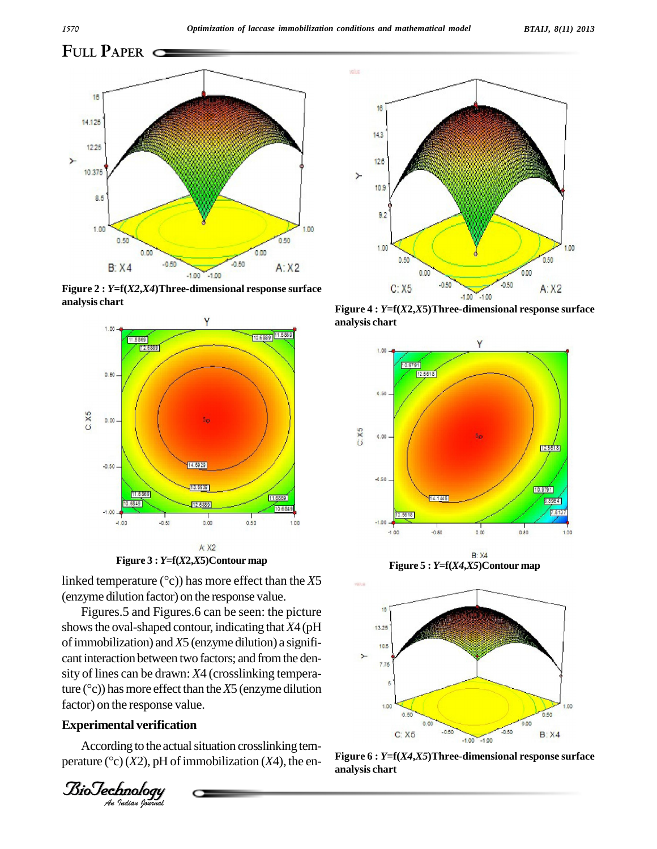**FULL PAPER**



**Figure 2 :** *Y***=f(***X2***,***X4***)Three-dimensional response surface analysis chart**



**Figure <sup>3</sup> :** *<sup>Y</sup>***=f(***X***2,***X***5)Contour map**

**linked temperature (°C)** has more effect than the *X5* linked temperature (°C) has more effect than the *X5* (enzyme dilution factor) on the response value.

and interaction between two ractors, and noni the density of lines can be drawn: *X4* (crosslinking temperafactor) on the response value. Figures.5 and Figures.6 can be seen: the picture showsthe oval-shaped contour, indicating that*X*4 (pH ofimmobilization) and*X*5 (enzyme dilution) a signifi cant interaction between two factors; and from the dencant interaction between two factors; and from the density of lines can be drawn:  $X4$  (crosslinking temperature ( $^{\circ}$ c)) has more effect than the  $X5$  (enzyme dilution

### **Experimental verification**

According to the actual situation crosslinking temperature ( $\degree$ c)(*X2*), pH of immobilization (*X4*), the en-

*<i>BioJechnology*<br>An Judian Journa



**Figure 4 :** *Y***=f(***X***2,***X***5)Three-dimensional response surface analysis chart**





**Figure 6 :** *Y***=f(***X4***,***X5***)Three-dimensional response surface analysis chart**